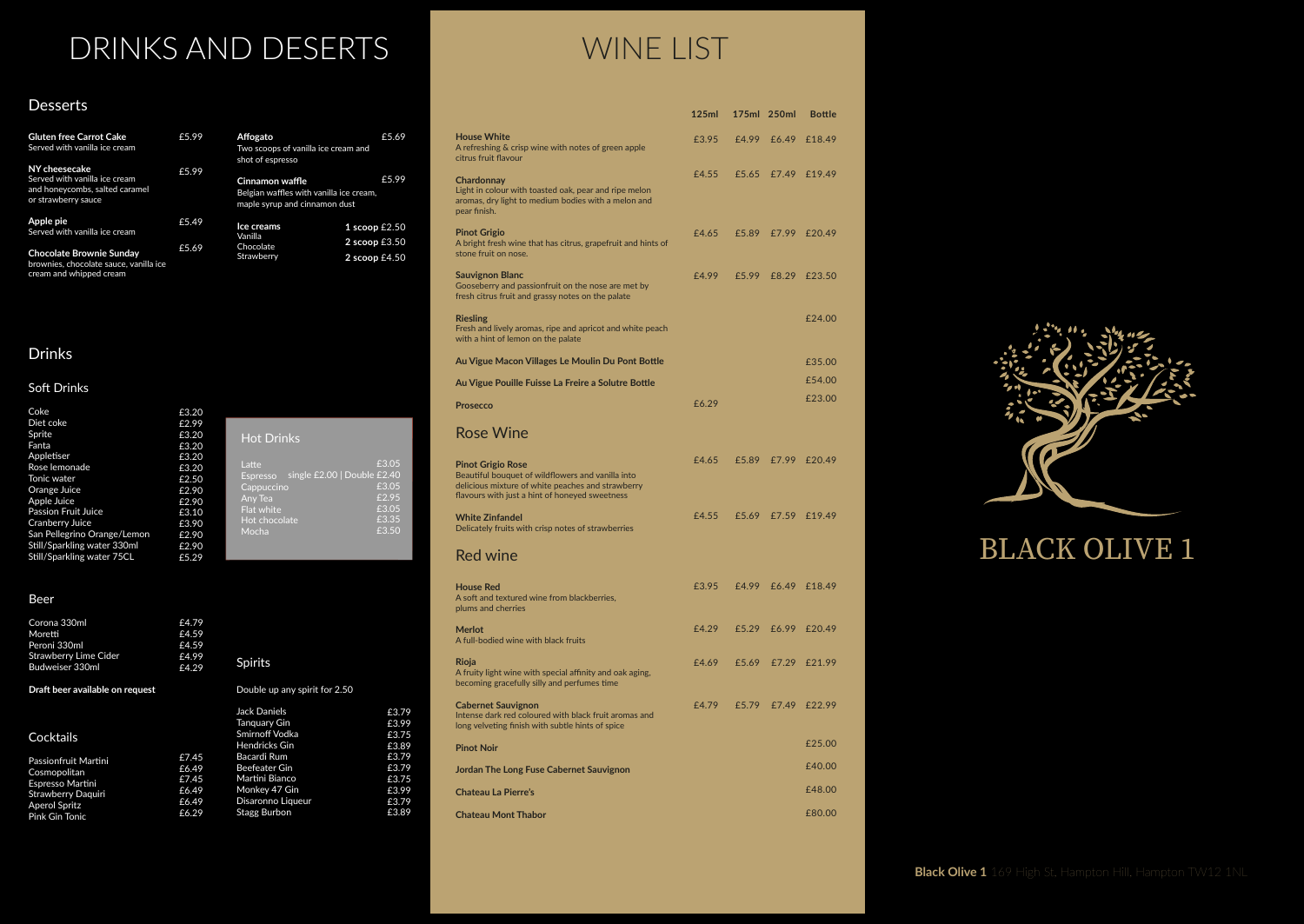## Drinks

### Soft Drinks

# DRINKS AND DESERTS WINE LIST

## Desserts

| <b>Gluten free Carrot Cake</b><br>Served with vanilla ice cream                                         | £5.99 | Affogato<br>Two scoops of vanilla ice cream and<br>shot of espresso                         | £5.69                                |
|---------------------------------------------------------------------------------------------------------|-------|---------------------------------------------------------------------------------------------|--------------------------------------|
| NY cheesecake<br>Served with vanilla ice cream<br>and honeycombs, salted caramel<br>or strawberry sauce | £5.99 | Cinnamon waffle<br>Belgian waffles with vanilla ice cream,<br>maple syrup and cinnamon dust | £5.99                                |
| Apple pie<br>Served with vanilla ice cream                                                              | £5.49 | Ice creams<br>Vanilla                                                                       | 1 scoop $£2.50$                      |
| <b>Chocolate Brownie Sunday</b><br>brownies, chocolate sauce, vanilla ice<br>cream and whipped cream    | £5.69 | Chocolate<br>Strawberry                                                                     | $2$ scoop $£3.50$<br>2 scoop $£4.50$ |

| Coke                        | £3.20 |                                                |
|-----------------------------|-------|------------------------------------------------|
| Diet coke                   | £2.99 |                                                |
| Sprite                      | £3.20 | <b>Hot Drinks</b>                              |
| Fanta                       | £3.20 |                                                |
| Appletiser                  | £3.20 |                                                |
| Rose lemonade               | £3.20 | £3.05<br>Latte                                 |
| Tonic water                 | £2.50 | single £2.00   Double £2.40<br><b>Espresso</b> |
| Orange Juice                | £2.90 | £3.05<br>Cappuccino                            |
| Apple Juice                 | £2.90 | £2.95<br>Any Tea                               |
| <b>Passion Fruit Juice</b>  | £3.10 | £3.05<br>Flat white                            |
| Cranberry Juice             | £3.90 | £3.35<br>Hot chocolate                         |
| San Pellegrino Orange/Lemon | £2.90 | £3.50<br>Mocha                                 |
| Still/Sparkling water 330ml | £2.90 |                                                |
| Still/Sparkling water 75CL  | £5.29 |                                                |

|                                                                                                                                                                                      | 125ml |       | 175ml 250ml        | <b>Bottle</b>      |
|--------------------------------------------------------------------------------------------------------------------------------------------------------------------------------------|-------|-------|--------------------|--------------------|
| <b>House White</b><br>A refreshing & crisp wine with notes of green apple<br>citrus fruit flavour                                                                                    | £3.95 | £4.99 | £6.49              | £18.49             |
| Chardonnay<br>Light in colour with toasted oak, pear and ripe melon<br>aromas, dry light to medium bodies with a melon and<br>pear finish.                                           | £4.55 | £5.65 |                    | £7.49 £19.49       |
| <b>Pinot Grigio</b><br>A bright fresh wine that has citrus, grapefruit and hints of<br>stone fruit on nose.                                                                          | £4.65 | £5.89 | £7.99              | £20.49             |
| <b>Sauvignon Blanc</b><br>Gooseberry and passionfruit on the nose are met by<br>fresh citrus fruit and grassy notes on the palate                                                    | £4.99 | £5.99 | £8.29              | £23.50             |
| <b>Riesling</b><br>Fresh and lively aromas, ripe and apricot and white peach<br>with a hint of lemon on the palate                                                                   |       |       |                    | £24.00             |
| Au Vigue Macon Villages Le Moulin Du Pont Bottle                                                                                                                                     |       |       |                    | £35.00             |
| Au Vigue Pouille Fuisse La Freire a Solutre Bottle                                                                                                                                   |       |       |                    | £54.00             |
| <b>Prosecco</b>                                                                                                                                                                      | £6.29 |       |                    | £23.00             |
| <b>Rose Wine</b>                                                                                                                                                                     |       |       |                    |                    |
| <b>Pinot Grigio Rose</b><br>Beautiful bouquet of wildflowers and vanilla into<br>delicious mixture of white peaches and strawberry<br>flavours with just a hint of honeyed sweetness | £4.65 | £5.89 |                    | £7.99 £20.49       |
| <b>White Zinfandel</b><br>Delicately fruits with crisp notes of strawberries                                                                                                         | £4.55 | £5.69 | £7.59              | £19.49             |
| <b>Red wine</b>                                                                                                                                                                      |       |       |                    |                    |
| House Red<br>A soft and textured wine from blackberries,<br>plums and cherries                                                                                                       | £3.95 |       | £4.99 £6.49 £18.49 |                    |
| <b>Merlot</b><br>A full-bodied wine with black fruits                                                                                                                                | £4.29 |       |                    | £5.29 £6.99 £20.49 |
| Rioja<br>A fruity light wine with special affinity and oak aging,<br>becoming gracefully silly and perfumes time                                                                     | £4.69 |       |                    | £5.69 £7.29 £21.99 |
| <b>Cabernet Sauvignon</b><br>Intense dark red coloured with black fruit aromas and<br>long velveting finish with subtle hints of spice                                               | £4.79 | f5.79 | £7.49              | £22.99             |
| <b>Pinot Noir</b>                                                                                                                                                                    |       |       |                    | £25.00             |
| Jordan The Long Fuse Cabernet Sauvignon                                                                                                                                              |       |       |                    | £40.00             |
| <b>Chateau La Pierre's</b>                                                                                                                                                           |       |       |                    | £48.00             |
| <b>Chateau Mont Thabor</b>                                                                                                                                                           |       |       |                    | £80.00             |



# **BLACK OLIVE 1**

### Beer

| Corona 330ml<br>Moretti<br>Peroni 330ml<br><b>Strawberry Lime Cider</b><br>Budweiser 330ml | £4.79<br>£4.59<br>£4.59<br>£4.99<br>£4.29 | <b>Spirits</b>                |       |
|--------------------------------------------------------------------------------------------|-------------------------------------------|-------------------------------|-------|
| Draft beer available on request                                                            |                                           | Double up any spirit for 2.50 |       |
|                                                                                            |                                           | Jack Daniels                  | £3.79 |
|                                                                                            |                                           | Tanguary Gin                  | £3.99 |
| Cocktails                                                                                  |                                           | Smirnoff Vodka                | £3.75 |
|                                                                                            |                                           | <b>Hendricks Gin</b>          | £3.89 |
| Passionfruit Martini                                                                       | £7.45                                     | Bacardi Rum                   | £3.79 |
| Cosmopolitan                                                                               | £6.49                                     | Beefeater Gin                 | £3.79 |
| Espresso Martini                                                                           | £7.45                                     | Martini Bianco                | £3.75 |
| <b>Strawberry Daguiri</b>                                                                  | £6.49                                     | Monkey 47 Gin                 | £3.99 |
| <b>Aperol Spritz</b>                                                                       | £6.49                                     | Disaronno Liqueur             | £3.79 |
| <b>Pink Gin Tonic</b>                                                                      | £6.29                                     | Stagg Burbon                  | £3.89 |

**Black Olive 1** 169 High St, Hampton Hill, Hampton TW12 1NL